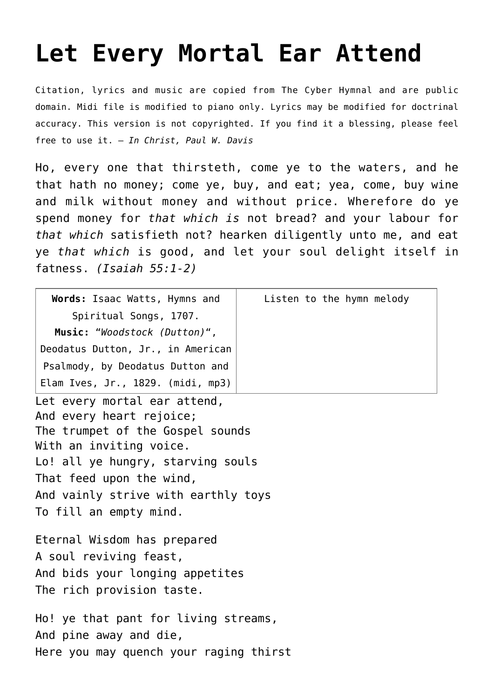## **[Let Every Mortal Ear Attend](http://reproachofmen.org/hymns-and-music/let-every-mortal-ear-attend/)**

Citation, lyrics and music are copied from [The Cyber Hymnal](http://www.hymntime.com/tch/index.htm) and are public domain. Midi file is modified to piano only. Lyrics may be modified for doctrinal accuracy. This version is not copyrighted. If you find it a blessing, please feel free to use it. — *In Christ, Paul W. Davis*

Ho, every one that thirsteth, come ye to the waters, and he that hath no money; come ye, buy, and eat; yea, come, buy wine and milk without money and without price. Wherefore do ye spend money for *that which is* not bread? and your labour for *that which* satisfieth not? hearken diligently unto me, and eat ye *that which* is good, and let your soul delight itself in fatness. *(Isaiah 55:1-2)*

| Words: Isaac Watts, Hymns and          | Listen to the hymn melody |
|----------------------------------------|---------------------------|
| Spiritual Songs, 1707.                 |                           |
| Music: "Woodstock (Dutton)",           |                           |
| Deodatus Dutton, Jr., in American      |                           |
| Psalmody, by Deodatus Dutton and       |                           |
| Elam Ives, Jr., 1829. (midi, mp3)      |                           |
| Let every mortal ear attend,           |                           |
| And every heart rejoice;               |                           |
| The trumpet of the Gospel sounds       |                           |
| With an inviting voice.                |                           |
| Lo! all ye hungry, starving souls      |                           |
| That feed upon the wind,               |                           |
| And vainly strive with earthly toys    |                           |
| To fill an empty mind.                 |                           |
| Eternal Wisdom has prepared            |                           |
| A soul reviving feast,                 |                           |
| And bids your longing appetites        |                           |
| The rich provision taste.              |                           |
| Ho! ye that pant for living streams,   |                           |
| And pine away and die,                 |                           |
| Here you may quench your raging thirst |                           |